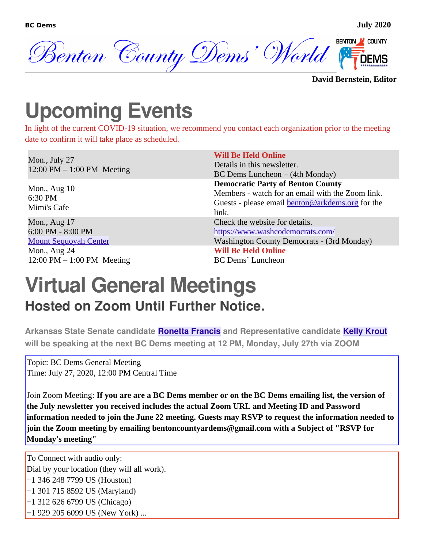

#### **David Bernstein, Editor**

# <span id="page-0-0"></span>**Upcoming Events**

In light of the current COVID-19 situation, we recommend you contact each organization prior to the meeting date to confirm it will take place as scheduled.

| Mon., July 27<br>12:00 PM $-$ 1:00 PM Meeting | <b>Will Be Held Online</b><br>Details in this newsletter.<br>BC Dems Luncheon - (4th Monday)                                                                                |
|-----------------------------------------------|-----------------------------------------------------------------------------------------------------------------------------------------------------------------------------|
| Mon., Aug 10<br>6:30 PM<br>Mimi's Cafe        | <b>Democratic Party of Benton County</b><br>Members - watch for an email with the Zoom link.<br>Guests - please email $\frac{\text{benton}(a)$ arkdems.org for the<br>link. |
| Mon., Aug 17                                  | Check the website for details.                                                                                                                                              |
| 6:00 PM - 8:00 PM                             | https://www.washcodemocrats.com/                                                                                                                                            |
| <b>Mount Sequoyah Center</b>                  | Washington County Democrats - (3rd Monday)                                                                                                                                  |
| Mon., Aug 24                                  | <b>Will Be Held Online</b>                                                                                                                                                  |
| 12:00 PM $-$ 1:00 PM Meeting                  | <b>BC Dems' Luncheon</b>                                                                                                                                                    |

## **Virtual General Meetings Hosted on Zoom Until Further Notice.**

**Arkansas State Senate candidate [Ronetta Francis](#page-1-0) and Representative candidate [Kelly Krout](#page-0-0) will be speaking at the next BC Dems meeting at 12 PM, Monday, July 27th via ZOOM**

#### <span id="page-0-1"></span>Topic: BC Dems General Meeting Time: July 27, 2020, 12:00 PM Central Time

Join Zoom Meeting: **If you are are a BC Dems member or on the BC Dems emailing list, the version of the July newsletter you received includes the actual Zoom URL and Meeting ID and Password information needed to join the June 22 meeting. Guests may RSVP to request the information needed to join the Zoom meeting by emailing bentoncountyardems@gmail.com with a Subject of "RSVP for Monday's meeting"**

To Connect with audio only: Dial by your location (they will all work). +1 346 248 7799 US (Houston) +1 301 715 8592 US (Maryland) +1 312 626 6799 US (Chicago) +1 929 205 6099 US (New York) ...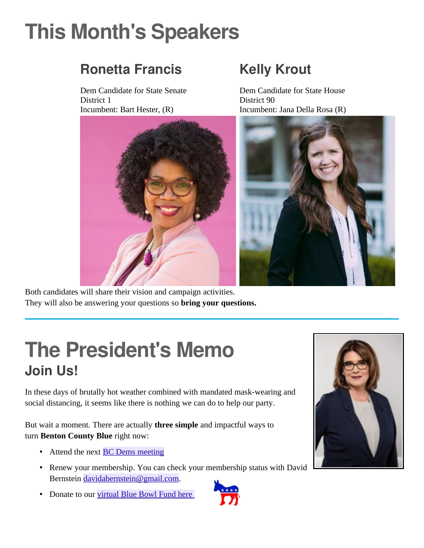# <span id="page-1-0"></span>**This Month's Speakers**

### **Ronetta Francis**

Dem Candidate for State Senate District 1 Incumbent: Bart Hester, (R)

#### **Kelly Krout**

Dem Candidate for State House District 90 Incumbent: Jana Della Rosa (R)





Both candidates will share their vision and campaign activities. They will also be answering your questions so **bring your questions.**

## **The President's Memo Join Us!**

In these days of brutally hot weather combined with mandated mask-wearing and social distancing, it seems like there is nothing we can do to help our party.

But wait a moment. There are actually **three simple** and impactful ways to turn **Benton County Blue** right now:

- Attend the next **BC Dems meeting**
- Renew your membership. You can check your membership status with David Bernstein [davidabernstein@gmail.com](mailto:davidabernstein@gmail.com?subject=My+Membership+Status&body=Is+my+membership+up+to+date?+%20I+am+probably+listed+under+the+name...).
- Donate to our [virtual Blue Bowl Fund here](https://www.bcdems.org/blue-bowl-fund.html)



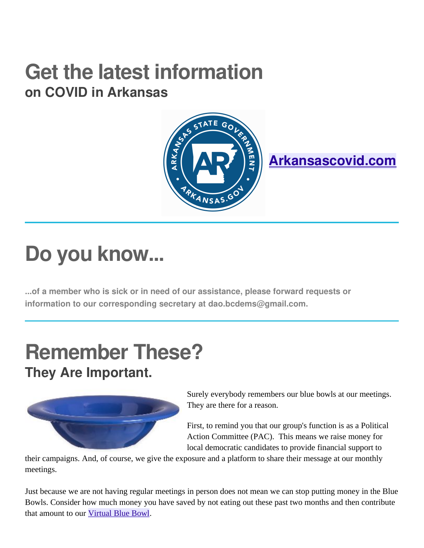## **Get the latest information on COVID in Arkansas**





# **Do you know...**

**...of a member who is sick or in need of our assistance, please forward requests or information to our corresponding secretary at dao.bcdems@gmail.com.**

### **Remember These? They Are Important.**



Surely everybody remembers our blue bowls at our meetings. They are there for a reason.

First, to remind you that our group's function is as a Political Action Committee (PAC). This means we raise money for local democratic candidates to provide financial support to

their campaigns. And, of course, we give the exposure and a platform to share their message at our monthly meetings.

Just because we are not having regular meetings in person does not mean we can stop putting money in the Blue Bowls. Consider how much money you have saved by not eating out these past two months and then contribute that amount to our [Virtual Blue Bowl](https://www.bcdems.org/blue-bowl-fund.html).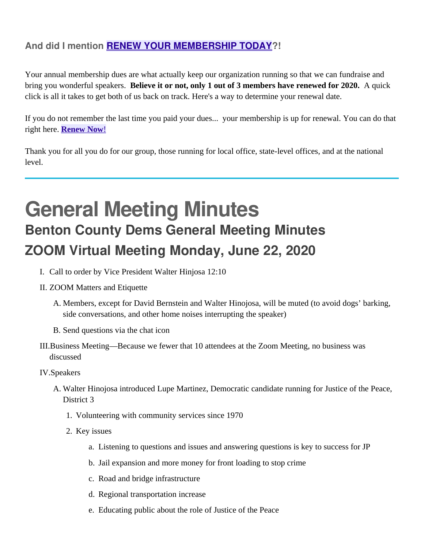#### **And did I mention [RENEW YOUR MEMBERSHIP TODAY](https://www.bcdems.org/membership.html)?!**

Your annual membership dues are what actually keep our organization running so that we can fundraise and bring you wonderful speakers. **Believe it or not, only 1 out of 3 members have renewed for 2020.** A quick click is all it takes to get both of us back on track. Here's a way to determine your renewal date.

If you do not remember the last time you paid your dues... your membership is up for renewal. You can do that right here. **[Renew Now](https://www.bcdems.org/membership.html)[!](https://www.bcdems.org/membership.html)** 

Thank you for all you do for our group, those running for local office, state-level offices, and at the national level.

### **General Meeting Minutes Benton County Dems General Meeting Minutes ZOOM Virtual Meeting Monday, June 22, 2020**

- I. Call to order by Vice President Walter Hinjosa 12:10
- II. ZOOM Matters and Etiquette
	- A. Members, except for David Bernstein and Walter Hinojosa, will be muted (to avoid dogs' barking, side conversations, and other home noises interrupting the speaker)
	- B. Send questions via the chat icon
- III.Business Meeting—Because we fewer that 10 attendees at the Zoom Meeting, no business was discussed
- IV.Speakers
	- A. Walter Hinojosa introduced Lupe Martinez, Democratic candidate running for Justice of the Peace, District 3
		- 1. Volunteering with community services since 1970
		- 2. Key issues
			- a. Listening to questions and issues and answering questions is key to success for JP
			- b. Jail expansion and more money for front loading to stop crime
			- c. Road and bridge infrastructure
			- d. Regional transportation increase
			- e. Educating public about the role of Justice of the Peace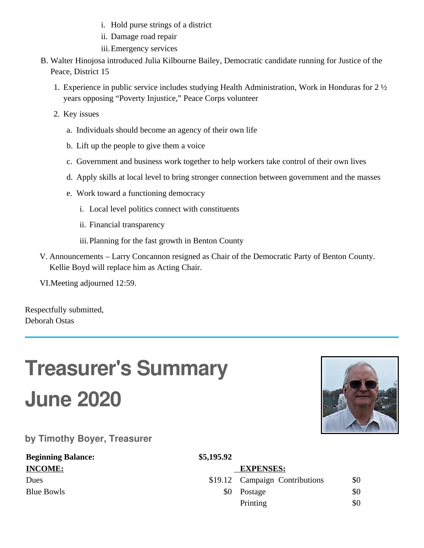- i. Hold purse strings of a district
- ii. Damage road repair
- iii.Emergency services
- B. Walter Hinojosa introduced Julia Kilbourne Bailey, Democratic candidate running for Justice of the Peace, District 15
	- 1. Experience in public service includes studying Health Administration, Work in Honduras for 2 ½ years opposing "Poverty Injustice," Peace Corps volunteer
	- 2. Key issues
		- a. Individuals should become an agency of their own life
		- b. Lift up the people to give them a voice
		- c. Government and business work together to help workers take control of their own lives
		- d. Apply skills at local level to bring stronger connection between government and the masses
		- e. Work toward a functioning democracy
			- i. Local level politics connect with constituents
			- ii. Financial transparency
			- iii.Planning for the fast growth in Benton County
- V. Announcements Larry Concannon resigned as Chair of the Democratic Party of Benton County. Kellie Boyd will replace him as Acting Chair.

VI.Meeting adjourned 12:59.

Respectfully submitted, Deborah Ostas

# **Treasurer's Summary June 2020**



**by Timothy Boyer, Treasurer**

| <b>Beginning Balance:</b> | \$5,195.92 |                                |     |
|---------------------------|------------|--------------------------------|-----|
| <b>INCOME:</b>            |            | <b>EXPENSES:</b>               |     |
| Dues                      |            | \$19.12 Campaign Contributions | \$0 |
| <b>Blue Bowls</b>         | \$0        | Postage                        | \$0 |
|                           |            | Printing                       | \$0 |